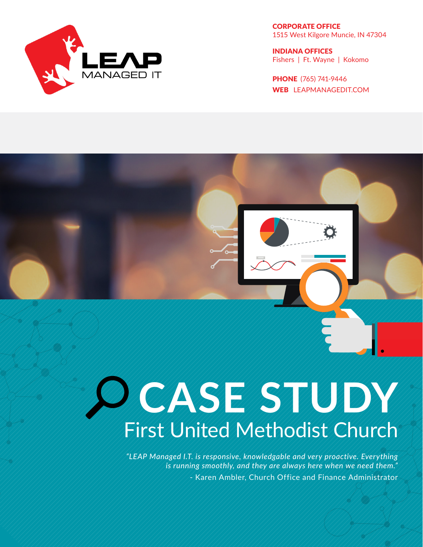

CORPORATE OFFICE 1515 West Kilgore Muncie, IN 47304

INDIANA OFFICES Fishers | Ft. Wayne | Kokomo

PHONE (765) 741-9446 WEB LEAPMANAGEDIT.COM

# **CASE STUDY** First United Methodist Church

*"LEAP Managed I.T. is responsive, knowledgable and very proactive. Everything is running smoothly, and they are always here when we need them."* - Karen Ambler, Church Office and Finance Administrator